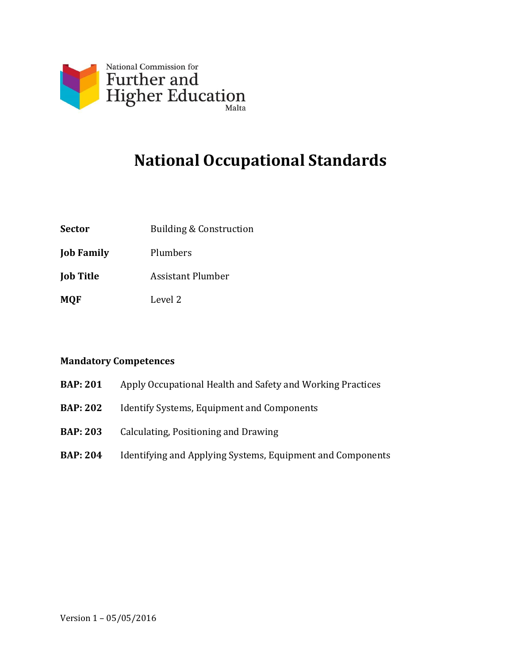

# **National Occupational Standards**

- **Sector** Building & Construction
- **Job Family** Plumbers
- **Job Title** Assistant Plumber
- **MQF** Level 2

#### **Mandatory Competences**

- **BAP: 201** Apply Occupational Health and Safety and Working Practices
- **BAP: 202** Identify Systems, Equipment and Components
- **BAP: 203** Calculating, Positioning and Drawing
- **BAP: 204** Identifying and Applying Systems, Equipment and Components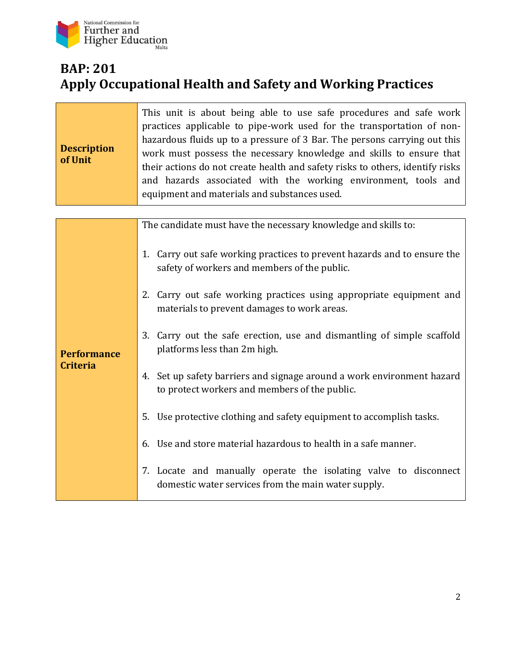

# **BAP: 201 Apply Occupational Health and Safety and Working Practices**

| <b>Description</b><br>of Unit         | This unit is about being able to use safe procedures and safe work<br>practices applicable to pipe-work used for the transportation of non-<br>hazardous fluids up to a pressure of 3 Bar. The persons carrying out this<br>work must possess the necessary knowledge and skills to ensure that<br>their actions do not create health and safety risks to others, identify risks<br>and hazards associated with the working environment, tools and<br>equipment and materials and substances used. |
|---------------------------------------|----------------------------------------------------------------------------------------------------------------------------------------------------------------------------------------------------------------------------------------------------------------------------------------------------------------------------------------------------------------------------------------------------------------------------------------------------------------------------------------------------|
|                                       |                                                                                                                                                                                                                                                                                                                                                                                                                                                                                                    |
|                                       | The candidate must have the necessary knowledge and skills to:                                                                                                                                                                                                                                                                                                                                                                                                                                     |
| <b>Performance</b><br><b>Criteria</b> | Carry out safe working practices to prevent hazards and to ensure the<br>1.<br>safety of workers and members of the public.                                                                                                                                                                                                                                                                                                                                                                        |
|                                       | 2. Carry out safe working practices using appropriate equipment and<br>materials to prevent damages to work areas.                                                                                                                                                                                                                                                                                                                                                                                 |
|                                       | Carry out the safe erection, use and dismantling of simple scaffold<br>3.<br>platforms less than 2m high.                                                                                                                                                                                                                                                                                                                                                                                          |
|                                       | 4. Set up safety barriers and signage around a work environment hazard<br>to protect workers and members of the public.                                                                                                                                                                                                                                                                                                                                                                            |
|                                       | Use protective clothing and safety equipment to accomplish tasks.<br>5.                                                                                                                                                                                                                                                                                                                                                                                                                            |
|                                       | 6. Use and store material hazardous to health in a safe manner.                                                                                                                                                                                                                                                                                                                                                                                                                                    |

7. Locate and manually operate the isolating valve to disconnect domestic water services from the main water supply.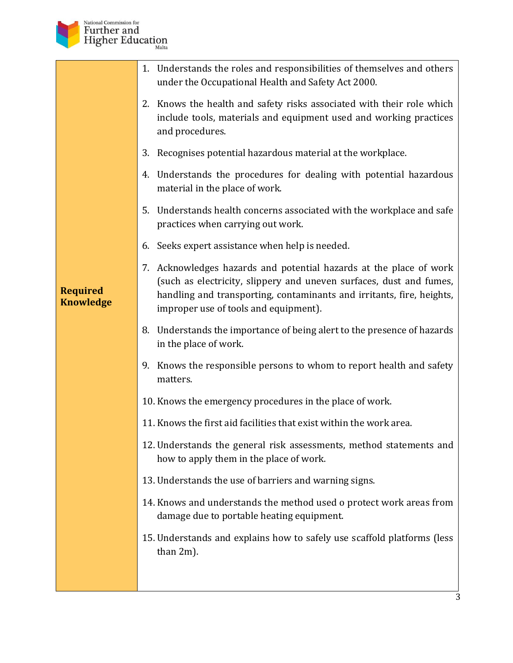

|                                     | 1. Understands the roles and responsibilities of themselves and others<br>under the Occupational Health and Safety Act 2000.                                                                                                                                |
|-------------------------------------|-------------------------------------------------------------------------------------------------------------------------------------------------------------------------------------------------------------------------------------------------------------|
|                                     | 2. Knows the health and safety risks associated with their role which<br>include tools, materials and equipment used and working practices<br>and procedures.                                                                                               |
|                                     | Recognises potential hazardous material at the workplace.<br>3.                                                                                                                                                                                             |
|                                     | 4. Understands the procedures for dealing with potential hazardous<br>material in the place of work.                                                                                                                                                        |
|                                     | 5. Understands health concerns associated with the workplace and safe<br>practices when carrying out work.                                                                                                                                                  |
|                                     | 6. Seeks expert assistance when help is needed.                                                                                                                                                                                                             |
| <b>Required</b><br><b>Knowledge</b> | 7. Acknowledges hazards and potential hazards at the place of work<br>(such as electricity, slippery and uneven surfaces, dust and fumes,<br>handling and transporting, contaminants and irritants, fire, heights,<br>improper use of tools and equipment). |
|                                     | 8. Understands the importance of being alert to the presence of hazards<br>in the place of work.                                                                                                                                                            |
|                                     | 9. Knows the responsible persons to whom to report health and safety<br>matters.                                                                                                                                                                            |
|                                     | 10. Knows the emergency procedures in the place of work.                                                                                                                                                                                                    |
|                                     | 11. Knows the first aid facilities that exist within the work area.                                                                                                                                                                                         |
|                                     | 12. Understands the general risk assessments, method statements and<br>how to apply them in the place of work.                                                                                                                                              |
|                                     | 13. Understands the use of barriers and warning signs.                                                                                                                                                                                                      |
|                                     | 14. Knows and understands the method used o protect work areas from<br>damage due to portable heating equipment.                                                                                                                                            |
|                                     | 15. Understands and explains how to safely use scaffold platforms (less<br>than $2m$ ).                                                                                                                                                                     |
|                                     |                                                                                                                                                                                                                                                             |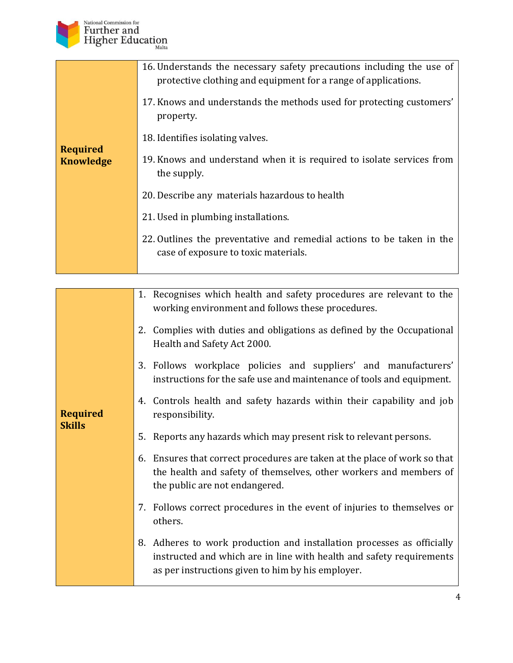

| 16. Understands the necessary safety precautions including the use of<br>protective clothing and equipment for a range of applications.<br>17. Knows and understands the methods used for protecting customers'<br>property.<br>18. Identifies isolating valves. |
|------------------------------------------------------------------------------------------------------------------------------------------------------------------------------------------------------------------------------------------------------------------|
| 19. Knows and understand when it is required to isolate services from<br>the supply.                                                                                                                                                                             |
| 20. Describe any materials hazardous to health                                                                                                                                                                                                                   |
| 21. Used in plumbing installations.                                                                                                                                                                                                                              |
| 22. Outlines the preventative and remedial actions to be taken in the<br>case of exposure to toxic materials.                                                                                                                                                    |
|                                                                                                                                                                                                                                                                  |

|                                  | 1. Recognises which health and safety procedures are relevant to the<br>working environment and follows these procedures.                                                                           |
|----------------------------------|-----------------------------------------------------------------------------------------------------------------------------------------------------------------------------------------------------|
|                                  | Complies with duties and obligations as defined by the Occupational<br>2.<br>Health and Safety Act 2000.                                                                                            |
|                                  | 3. Follows workplace policies and suppliers' and manufacturers'<br>instructions for the safe use and maintenance of tools and equipment.                                                            |
| <b>Required</b><br><b>Skills</b> | 4. Controls health and safety hazards within their capability and job<br>responsibility.                                                                                                            |
|                                  | 5. Reports any hazards which may present risk to relevant persons.                                                                                                                                  |
|                                  | 6. Ensures that correct procedures are taken at the place of work so that<br>the health and safety of themselves, other workers and members of<br>the public are not endangered.                    |
|                                  | 7. Follows correct procedures in the event of injuries to themselves or<br>others.                                                                                                                  |
|                                  | 8. Adheres to work production and installation processes as officially<br>instructed and which are in line with health and safety requirements<br>as per instructions given to him by his employer. |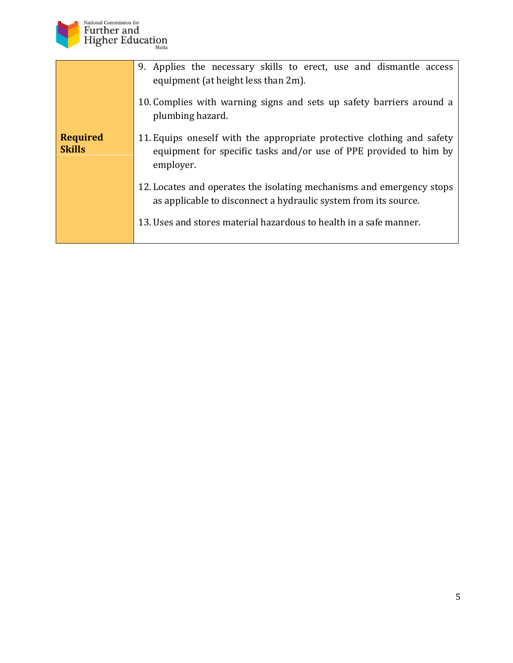

|                                  | 9. Applies the necessary skills to erect, use and dismantle access<br>equipment (at height less than 2m).<br>10. Complies with warning signs and sets up safety barriers around a |
|----------------------------------|-----------------------------------------------------------------------------------------------------------------------------------------------------------------------------------|
|                                  | plumbing hazard.                                                                                                                                                                  |
| <b>Required</b><br><b>Skills</b> | 11. Equips oneself with the appropriate protective clothing and safety<br>equipment for specific tasks and/or use of PPE provided to him by<br>employer.                          |
|                                  | 12. Locates and operates the isolating mechanisms and emergency stops<br>as applicable to disconnect a hydraulic system from its source.                                          |
|                                  | 13. Uses and stores material hazardous to health in a safe manner.                                                                                                                |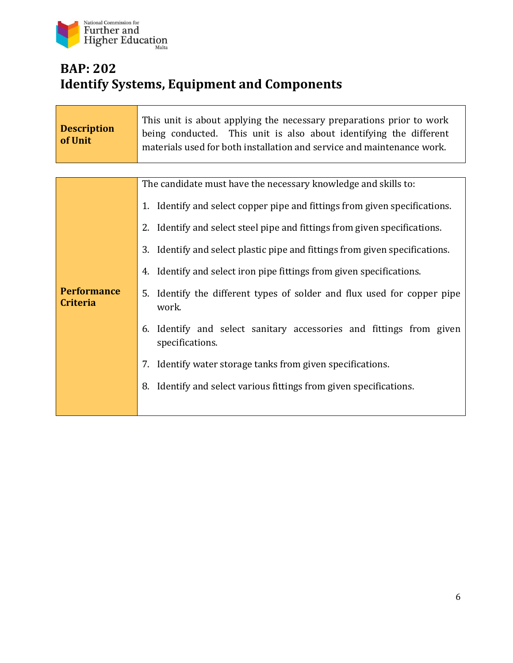

T

T

# **BAP: 202 Identify Systems, Equipment and Components**

| <b>Description</b><br>of Unit         | This unit is about applying the necessary preparations prior to work<br>being conducted. This unit is also about identifying the different<br>materials used for both installation and service and maintenance work. |
|---------------------------------------|----------------------------------------------------------------------------------------------------------------------------------------------------------------------------------------------------------------------|
|                                       |                                                                                                                                                                                                                      |
|                                       | The candidate must have the necessary knowledge and skills to:                                                                                                                                                       |
|                                       | 1. Identify and select copper pipe and fittings from given specifications.                                                                                                                                           |
| <b>Performance</b><br><b>Criteria</b> | 2. Identify and select steel pipe and fittings from given specifications.                                                                                                                                            |
|                                       | 3.<br>Identify and select plastic pipe and fittings from given specifications.                                                                                                                                       |
|                                       | Identify and select iron pipe fittings from given specifications.<br>4.                                                                                                                                              |
|                                       | Identify the different types of solder and flux used for copper pipe<br>5.<br>work.                                                                                                                                  |
|                                       | Identify and select sanitary accessories and fittings from given<br>6.<br>specifications.                                                                                                                            |
|                                       | Identify water storage tanks from given specifications.<br>7.                                                                                                                                                        |
|                                       | Identify and select various fittings from given specifications.<br>8.                                                                                                                                                |
|                                       |                                                                                                                                                                                                                      |

٦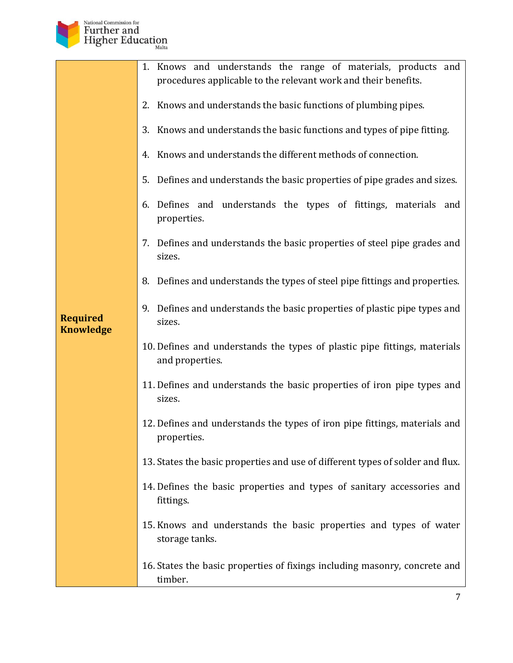

|                                     | 1. Knows and understands the range of materials, products and<br>procedures applicable to the relevant work and their benefits. |
|-------------------------------------|---------------------------------------------------------------------------------------------------------------------------------|
|                                     | 2. Knows and understands the basic functions of plumbing pipes.                                                                 |
|                                     | Knows and understands the basic functions and types of pipe fitting.<br>3.                                                      |
|                                     | 4. Knows and understands the different methods of connection.                                                                   |
|                                     | 5. Defines and understands the basic properties of pipe grades and sizes.                                                       |
|                                     | 6. Defines and understands the types of fittings, materials and<br>properties.                                                  |
|                                     | 7. Defines and understands the basic properties of steel pipe grades and<br>sizes.                                              |
|                                     | 8. Defines and understands the types of steel pipe fittings and properties.                                                     |
| <b>Required</b><br><b>Knowledge</b> | 9. Defines and understands the basic properties of plastic pipe types and<br>sizes.                                             |
|                                     | 10. Defines and understands the types of plastic pipe fittings, materials<br>and properties.                                    |
|                                     | 11. Defines and understands the basic properties of iron pipe types and<br>sizes.                                               |
|                                     | 12. Defines and understands the types of iron pipe fittings, materials and<br>properties.                                       |
|                                     | 13. States the basic properties and use of different types of solder and flux.                                                  |
|                                     | 14. Defines the basic properties and types of sanitary accessories and<br>fittings.                                             |
|                                     | 15. Knows and understands the basic properties and types of water<br>storage tanks.                                             |
|                                     | 16. States the basic properties of fixings including masonry, concrete and<br>timber.                                           |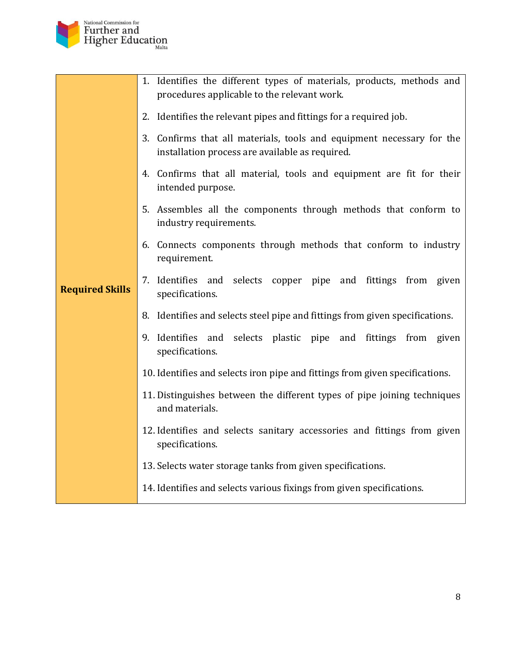

|                        | 1. Identifies the different types of materials, products, methods and<br>procedures applicable to the relevant work.     |
|------------------------|--------------------------------------------------------------------------------------------------------------------------|
|                        | 2. Identifies the relevant pipes and fittings for a required job.                                                        |
|                        | 3. Confirms that all materials, tools and equipment necessary for the<br>installation process are available as required. |
|                        | 4. Confirms that all material, tools and equipment are fit for their<br>intended purpose.                                |
|                        | 5. Assembles all the components through methods that conform to<br>industry requirements.                                |
|                        | 6. Connects components through methods that conform to industry<br>requirement.                                          |
| <b>Required Skills</b> | 7. Identifies and selects copper pipe and fittings from given<br>specifications.                                         |
|                        | 8. Identifies and selects steel pipe and fittings from given specifications.                                             |
|                        | 9. Identifies and selects plastic pipe and fittings from given<br>specifications.                                        |
|                        | 10. Identifies and selects iron pipe and fittings from given specifications.                                             |
|                        | 11. Distinguishes between the different types of pipe joining techniques<br>and materials.                               |
|                        | 12. Identifies and selects sanitary accessories and fittings from given<br>specifications.                               |
|                        | 13. Selects water storage tanks from given specifications.                                                               |
|                        | 14. Identifies and selects various fixings from given specifications.                                                    |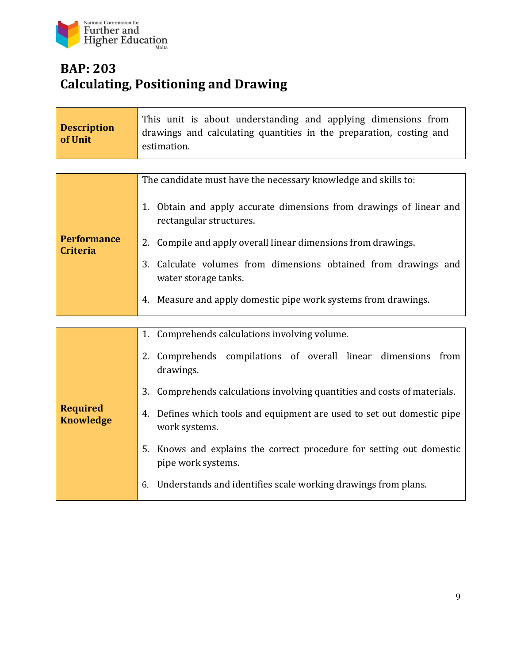

# **BAP: 203 Calculating, Positioning and Drawing**

| <b>Description</b><br>of Unit         | This unit is about understanding and applying dimensions from<br>drawings and calculating quantities in the preparation, costing and<br>estimation. |
|---------------------------------------|-----------------------------------------------------------------------------------------------------------------------------------------------------|
|                                       |                                                                                                                                                     |
|                                       | The candidate must have the necessary knowledge and skills to:                                                                                      |
|                                       | 1. Obtain and apply accurate dimensions from drawings of linear and<br>rectangular structures.                                                      |
| <b>Performance</b><br><b>Criteria</b> | Compile and apply overall linear dimensions from drawings.<br>2.                                                                                    |
|                                       | 3.<br>Calculate volumes from dimensions obtained from drawings and<br>water storage tanks.                                                          |
|                                       | Measure and apply domestic pipe work systems from drawings.<br>4.                                                                                   |
|                                       |                                                                                                                                                     |
|                                       | Comprehends calculations involving volume.<br>1.                                                                                                    |
|                                       | 2. Comprehends compilations of overall linear dimensions from<br>drawings.                                                                          |
| <b>Required</b><br><b>Knowledge</b>   | 3.<br>Comprehends calculations involving quantities and costs of materials.                                                                         |
|                                       | Defines which tools and equipment are used to set out domestic pipe<br>4.<br>work systems.                                                          |
|                                       | Knows and explains the correct procedure for setting out domestic<br>5.<br>pipe work systems.                                                       |
|                                       | Understands and identifies scale working drawings from plans.<br>6.                                                                                 |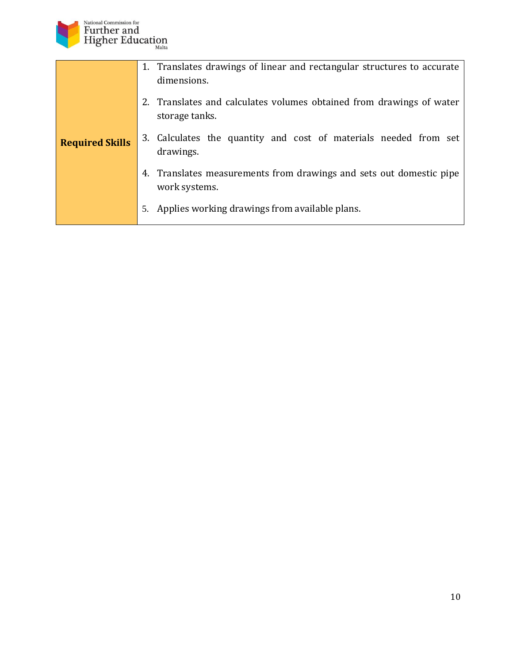

| <b>Required Skills</b> | 1. Translates drawings of linear and rectangular structures to accurate<br>dimensions. |
|------------------------|----------------------------------------------------------------------------------------|
|                        | 2. Translates and calculates volumes obtained from drawings of water<br>storage tanks. |
|                        | 3. Calculates the quantity and cost of materials needed from set<br>drawings.          |
|                        | 4. Translates measurements from drawings and sets out domestic pipe<br>work systems.   |
|                        | Applies working drawings from available plans.<br>5.                                   |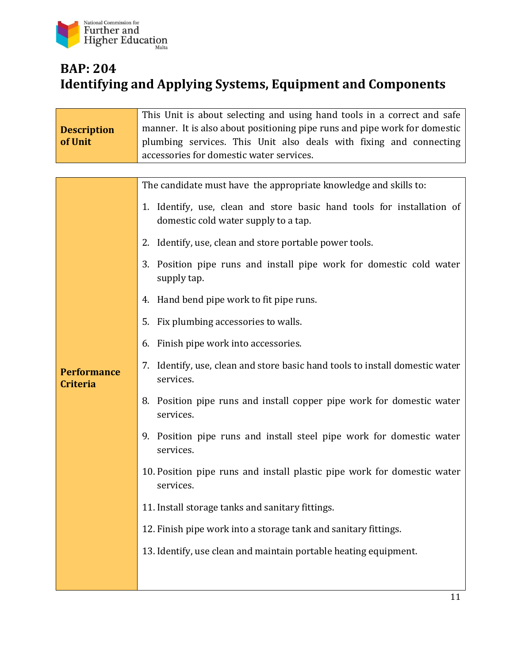

## **BAP: 204 Identifying and Applying Systems, Equipment and Components**

| <b>Description</b><br>of Unit         | This Unit is about selecting and using hand tools in a correct and safe<br>manner. It is also about positioning pipe runs and pipe work for domestic<br>plumbing services. This Unit also deals with fixing and connecting<br>accessories for domestic water services. |
|---------------------------------------|------------------------------------------------------------------------------------------------------------------------------------------------------------------------------------------------------------------------------------------------------------------------|
|                                       | The candidate must have the appropriate knowledge and skills to:                                                                                                                                                                                                       |
|                                       | 1. Identify, use, clean and store basic hand tools for installation of<br>domestic cold water supply to a tap.                                                                                                                                                         |
|                                       | 2. Identify, use, clean and store portable power tools.                                                                                                                                                                                                                |
|                                       | Position pipe runs and install pipe work for domestic cold water<br>3.<br>supply tap.                                                                                                                                                                                  |
|                                       | 4. Hand bend pipe work to fit pipe runs.                                                                                                                                                                                                                               |
|                                       | 5. Fix plumbing accessories to walls.                                                                                                                                                                                                                                  |
|                                       | 6. Finish pipe work into accessories.                                                                                                                                                                                                                                  |
| <b>Performance</b><br><b>Criteria</b> | 7. Identify, use, clean and store basic hand tools to install domestic water<br>services.                                                                                                                                                                              |
|                                       | 8. Position pipe runs and install copper pipe work for domestic water<br>services.                                                                                                                                                                                     |
|                                       | 9. Position pipe runs and install steel pipe work for domestic water<br>services.                                                                                                                                                                                      |
|                                       | 10. Position pipe runs and install plastic pipe work for domestic water<br>services.                                                                                                                                                                                   |
|                                       | 11. Install storage tanks and sanitary fittings.                                                                                                                                                                                                                       |
|                                       | 12. Finish pipe work into a storage tank and sanitary fittings.                                                                                                                                                                                                        |
|                                       | 13. Identify, use clean and maintain portable heating equipment.                                                                                                                                                                                                       |
|                                       |                                                                                                                                                                                                                                                                        |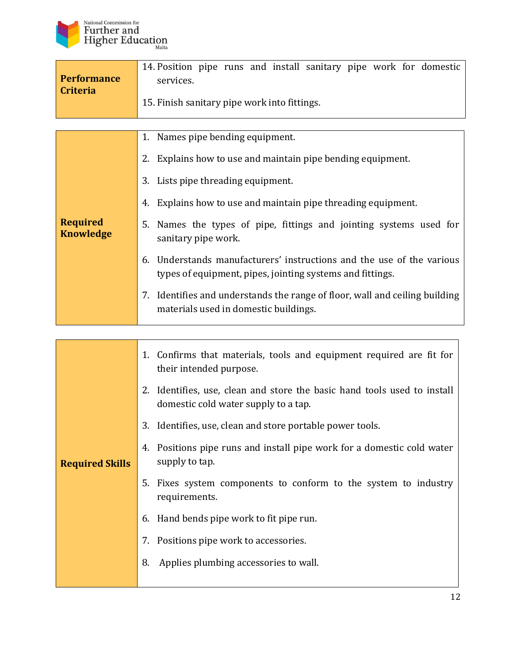

| <b>Performance</b><br><b>Criteria</b> | 14. Position pipe runs and install sanitary pipe work for domestic<br>services.<br>15. Finish sanitary pipe work into fittings.       |
|---------------------------------------|---------------------------------------------------------------------------------------------------------------------------------------|
|                                       |                                                                                                                                       |
|                                       | 1. Names pipe bending equipment.                                                                                                      |
|                                       | 2. Explains how to use and maintain pipe bending equipment.                                                                           |
|                                       | 3. Lists pipe threading equipment.                                                                                                    |
|                                       | 4. Explains how to use and maintain pipe threading equipment.                                                                         |
| <b>Required</b><br><b>Knowledge</b>   | Names the types of pipe, fittings and jointing systems used for<br>5.<br>sanitary pipe work.                                          |
|                                       | Understands manufacturers' instructions and the use of the various<br>6.<br>types of equipment, pipes, jointing systems and fittings. |
|                                       | 7. Identifies and understands the range of floor, wall and ceiling building<br>materials used in domestic buildings.                  |

| <b>Required Skills</b> | 1. Confirms that materials, tools and equipment required are fit for<br>their intended purpose.                  |
|------------------------|------------------------------------------------------------------------------------------------------------------|
|                        | 2. Identifies, use, clean and store the basic hand tools used to install<br>domestic cold water supply to a tap. |
|                        | 3. Identifies, use, clean and store portable power tools.                                                        |
|                        | 4. Positions pipe runs and install pipe work for a domestic cold water<br>supply to tap.                         |
|                        | 5. Fixes system components to conform to the system to industry<br>requirements.                                 |
|                        | 6. Hand bends pipe work to fit pipe run.                                                                         |
|                        | 7. Positions pipe work to accessories.                                                                           |
|                        | 8.<br>Applies plumbing accessories to wall.                                                                      |
|                        |                                                                                                                  |